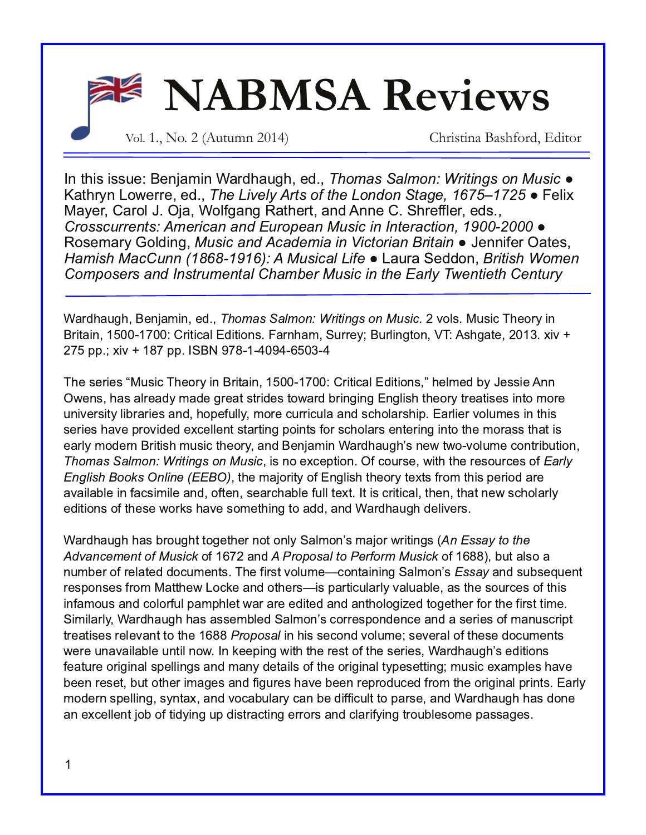

In this issue: Benjamin Wardhaugh, ed., Thomas Salmon: Writings on Music  $\bullet$ Kathryn Lowerre, ed., *The Lively Arts of the London Stage, 1675–1725* ● Felix Mayer, Carol J. Oja, Wolfgang Rathert, and Anne C. Shreffler, eds., Crosscurrents: American and European Music in Interaction, 1900-2000 · Rosemary Golding, Music and Academia in Victorian Britain • Jennifer Oates, Hamish MacCunn (1868-1916): A Musical Life ● Laura Seddon, *British Women* Composers and Instrumental Chamber Music in the Early Twentieth Century

Wardhaugh, Benjamin, ed., *Thomas Salmon: Writings on Music*. 2 vols. Music Theory in Britain, 1500-1700: Critical Editions. Farnham, Surrey; Burlington, VT: Ashgate, 2013. xiv + 275 pp.; xiv + 187 pp. ISBN 978-1-4094-6503-4

The series "Music Theory in Britain, 1500-1700: Critical Editions," helmed by Jessie Ann Owens, has already made great strides toward bringing English theory treatises into more university libraries and, hopefully, more curricula and scholarship. Earlier volumes in this series have provided excellent starting points for scholars entering into the morass that is early modern British music theory, and Benjamin Wardhaugh's new two-volume contribution, Thomas Salmon: Writings on Music, is no exception. Of course, with the resources of Early English Books Online (EEBO), the majority of English theory texts from this period are available in facsimile and, often, searchable full text. It is critical, then, that new scholarly editions of these works have something to add, and Wardhaugh delivers.

Wardhaugh has brought together not only Salmon's major writings (An Essay to the Advancement of Musick of 1672 and A Proposal to Perform Musick of 1688), but also a number of related documents. The first volume—containing Salmon's *Essay* and subsequent responses from Matthew Locke and others—is particularly valuable, as the sources of this infamous and colorful pamphlet war are edited and anthologized together for the first time. Similarly, Wardhaugh has assembled Salmon's correspondence and a series of manuscript treatises relevant to the 1688 *Proposal* in his second volume; several of these documents were unavailable until now. In keeping with the rest of the series, Wardhaugh's editions feature original spellings and many details of the original typesetting; music examples have been reset, but other images and figures have been reproduced from the original prints. Early modern spelling, syntax, and vocabulary can be difficult to parse, and Wardhaugh has done an excellent job of tidying up distracting errors and clarifying troublesome passages.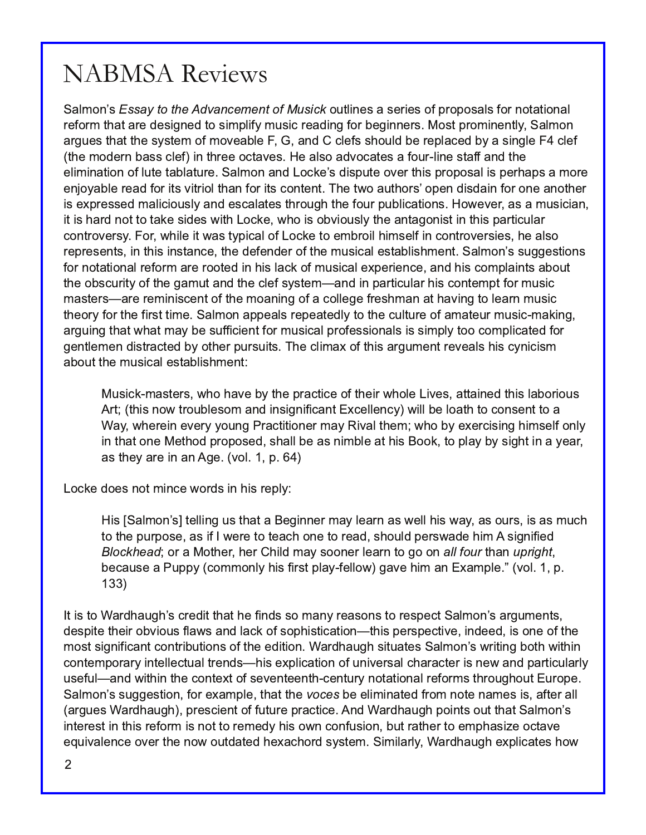Salmon's *Essay to the Advancement of Musick* outlines a series of proposals for notational reform that are designed to simplify music reading for beginners. Most prominently, Salmon arques that the system of moveable F, G, and C clefs should be replaced by a single F4 clef (the modern bass clef) in three octaves. He also advocates a four-line staff and the elimination of lute tablature. Salmon and Locke's dispute over this proposal is perhaps a more enjoyable read for its vitriol than for its content. The two authors' open disdain for one another is expressed maliciously and escalates through the four publications. However, as a musician, it is hard not to take sides with Locke, who is obviously the antagonist in this particular controversy. For, while it was typical of Locke to embroil himself in controversies, he also represents, in this instance, the defender of the musical establishment. Salmon's suggestions for notational reform are rooted in his lack of musical experience, and his complaints about the obscurity of the gamut and the clef system—and in particular his contempt for music masters—are reminiscent of the moaning of a college freshman at having to learn music theory for the first time. Salmon appeals repeatedly to the culture of amateur music-making, arguing that what may be sufficient for musical professionals is simply too complicated for gentlemen distracted by other pursuits. The climax of this argument reveals his cynicism about the musical establishment:

Musick-masters, who have by the practice of their whole Lives, attained this laborious Art; (this now troublesom and insignificant Excellency) will be loath to consent to a Way, wherein every young Practitioner may Rival them; who by exercising himself only in that one Method proposed, shall be as nimble at his Book, to play by sight in a year. as they are in an Age. (vol. 1, p. 64)

Locke does not mince words in his reply:

His [Salmon's] telling us that a Beginner may learn as well his way, as ours, is as much to the purpose, as if I were to teach one to read, should perswade him A signified Blockhead; or a Mother, her Child may sooner learn to go on all four than upright, because a Puppy (commonly his first play-fellow) gave him an Example." (vol. 1, p. 133)

It is to Wardhaugh's credit that he finds so many reasons to respect Salmon's arguments, despite their obvious flaws and lack of sophistication—this perspective, indeed, is one of the most significant contributions of the edition. Wardhaugh situates Salmon's writing both within contemporary intellectual trends—his explication of universal character is new and particularly useful—and within the context of seventeenth-century notational reforms throughout Europe. Salmon's suggestion, for example, that the voces be eliminated from note names is, after all (argues Wardhaugh), prescient of future practice. And Wardhaugh points out that Salmon's interest in this reform is not to remedy his own confusion, but rather to emphasize octave equivalence over the now outdated hexachord system. Similarly, Wardhaugh explicates how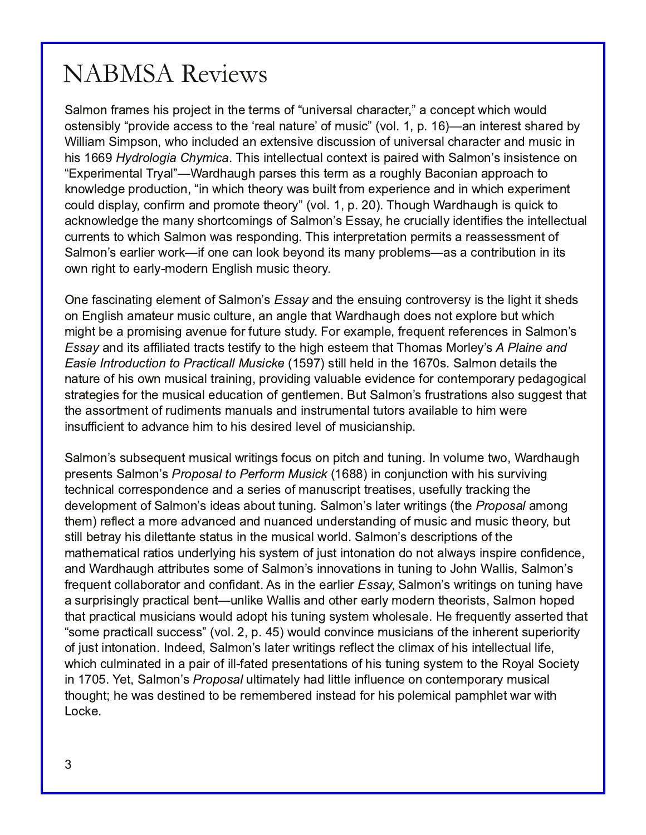Salmon frames his project in the terms of "universal character," a concept which would ostensibly "provide access to the 'real nature' of music" (vol. 1, p. 16)—an interest shared by William Simpson, who included an extensive discussion of universal character and music in his 1669 Hydrologia Chymica. This intellectual context is paired with Salmon's insistence on "Experimental Tryal"—Wardhaugh parses this term as a roughly Baconian approach to knowledge production, "in which theory was built from experience and in which experiment could display, confirm and promote theory" (vol. 1, p. 20). Though Wardhaugh is quick to acknowledge the many shortcomings of Salmon's Essay, he crucially identifies the intellectual currents to which Salmon was responding. This interpretation permits a reassessment of Salmon's earlier work—if one can look beyond its many problems—as a contribution in its own right to early-modern English music theory.

One fascinating element of Salmon's *Essay* and the ensuing controversy is the light it sheds on English amateur music culture, an angle that Wardhaugh does not explore but which might be a promising avenue for future study. For example, frequent references in Salmon's Essay and its affiliated tracts testify to the high esteem that Thomas Morley's A Plaine and Easie Introduction to Practicall Musicke (1597) still held in the 1670s. Salmon details the nature of his own musical training, providing valuable evidence for contemporary pedagogical strategies for the musical education of gentlemen. But Salmon's frustrations also suggest that the assortment of rudiments manuals and instrumental tutors available to him were insufficient to advance him to his desired level of musicianship.

Salmon's subsequent musical writings focus on pitch and tuning. In volume two, Wardhaugh presents Salmon's *Proposal to Perform Musick* (1688) in conjunction with his surviving technical correspondence and a series of manuscript treatises, usefully tracking the development of Salmon's ideas about tuning. Salmon's later writings (the Proposal among them) reflect a more advanced and nuanced understanding of music and music theory, but still betray his dilettante status in the musical world. Salmon's descriptions of the mathematical ratios underlying his system of just intonation do not always inspire confidence, and Wardhaugh attributes some of Salmon's innovations in tuning to John Wallis, Salmon's frequent collaborator and confidant. As in the earlier Essay, Salmon's writings on tuning have a surprisingly practical bent—unlike Wallis and other early modern theorists, Salmon hoped that practical musicians would adopt his tuning system wholesale. He frequently asserted that "some practicall success" (vol. 2, p. 45) would convince musicians of the inherent superiority of just intonation. Indeed, Salmon's later writings reflect the climax of his intellectual life, which culminated in a pair of ill-fated presentations of his tuning system to the Royal Society in 1705. Yet, Salmon's Proposal ultimately had little influence on contemporary musical thought; he was destined to be remembered instead for his polemical pamphlet war with Locke.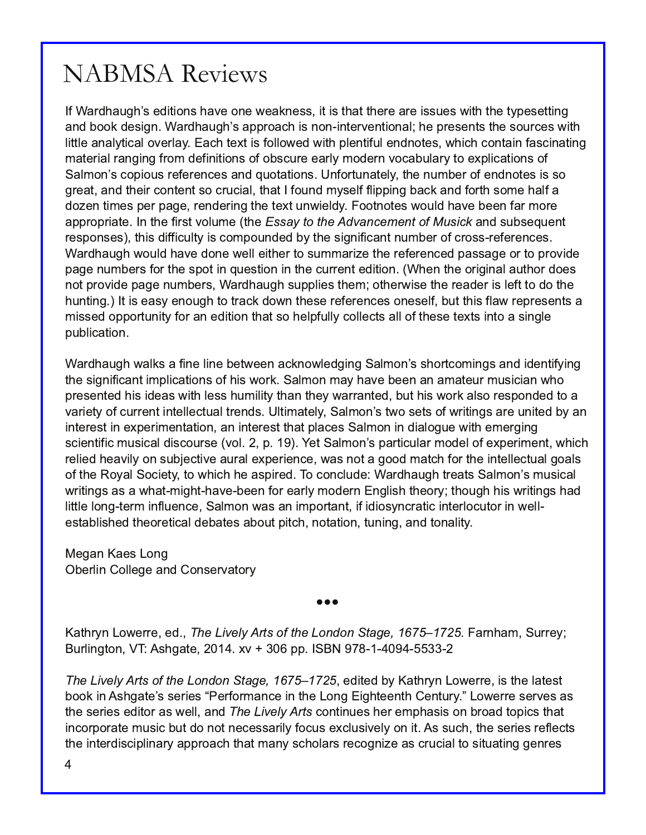If Wardhaugh's editions have one weakness, it is that there are issues with the typesetting and book design. Wardhaugh's approach is non-interventional; he presents the sources with little analytical overlay. Each text is followed with plentiful endnotes, which contain fascinating material ranging from definitions of obscure early modern vocabulary to explications of Salmon's copious references and quotations. Unfortunately, the number of endnotes is so great, and their content so crucial, that I found myself flipping back and forth some half a dozen times per page, rendering the text unwieldy. Footnotes would have been far more appropriate. In the first volume (the Essay to the Advancement of Musick and subsequent responses), this difficulty is compounded by the significant number of cross-references. Wardhaugh would have done well either to summarize the referenced passage or to provide page numbers for the spot in question in the current edition. (When the original author does not provide page numbers, Wardhaugh supplies them; otherwise the reader is left to do the hunting.) It is easy enough to track down these references oneself, but this flaw represents a missed opportunity for an edition that so helpfully collects all of these texts into a single publication.

Wardhaugh walks a fine line between acknowledging Salmon's shortcomings and identifying the significant implications of his work. Salmon may have been an amateur musician who presented his ideas with less humility than they warranted, but his work also responded to a variety of current intellectual trends. Ultimately, Salmon's two sets of writings are united by an interest in experimentation, an interest that places Salmon in dialogue with emerging scientific musical discourse (vol. 2, p. 19). Yet Salmon's particular model of experiment, which relied heavily on subjective aural experience, was not a good match for the intellectual goals of the Royal Society, to which he aspired. To conclude: Wardhaugh treats Salmon's musical writings as a what-might-have-been for early modern English theory; though his writings had little long-term influence, Salmon was an important, if idiosyncratic interlocutor in wellestablished theoretical debates about pitch, notation, tuning, and tonality.

Megan Kaes Long Oberlin College and Conservatory

Kathryn Lowerre, ed., *The Lively Arts of the London Stage, 1675*–*1725*. Farnham, Surrey; Burlington, VT: Ashgate, 2014. xv + 306 pp. ISBN 978-1-4094-5533-2

 $\bullet \bullet \bullet$ 

The Lively Arts of the London Stage, 1675–1725, edited by Kathryn Lowerre, is the latest book in Ashgate's series "Performance in the Long Eighteenth Century." Lowerre serves as the series editor as well, and The Lively Arts continues her emphasis on broad topics that incorporate music but do not necessarily focus exclusively on it. As such, the series reflects the interdisciplinary approach that many scholars recognize as crucial to situating genres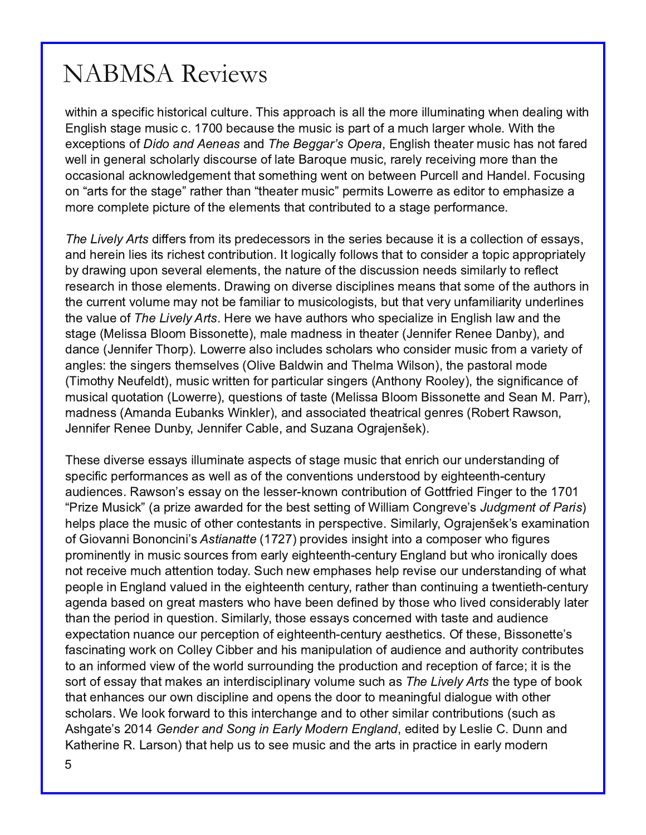within a specific historical culture. This approach is all the more illuminating when dealing with English stage music c. 1700 because the music is part of a much larger whole. With the exceptions of Dido and Aeneas and The Beggar's Opera, English theater music has not fared well in general scholarly discourse of late Baroque music, rarely receiving more than the occasional acknowledgement that something went on between Purcell and Handel. Focusing on "arts for the stage" rather than "theater music" permits Lowerre as editor to emphasize a more complete picture of the elements that contributed to a stage performance.

The Lively Arts differs from its predecessors in the series because it is a collection of essays, and herein lies its richest contribution. It logically follows that to consider a topic appropriately by drawing upon several elements, the nature of the discussion needs similarly to reflect research in those elements. Drawing on diverse disciplines means that some of the authors in the current volume may not be familiar to musicologists, but that very unfamiliarity underlines the value of The Lively Arts. Here we have authors who specialize in English law and the stage (Melissa Bloom Bissonette), male madness in theater (Jennifer Renee Danby), and dance (Jennifer Thorp). Lowerre also includes scholars who consider music from a variety of angles: the singers themselves (Olive Baldwin and Thelma Wilson), the pastoral mode (Timothy Neufeldt), music written for particular singers (Anthony Rooley), the significance of musical quotation (Lowerre), questions of taste (Melissa Bloom Bissonette and Sean M. Parr) , madness (Amanda Eubanks Winkler), and associated theatrical genres (Robert Rawson, Jennifer Renee Dunby, Jennifer Cable, and Suzana Ograjenšek). j

These diverse essays illuminate aspects of stage music that enrich our understanding of specific performances as well as of the conventions understood by eighteenth-century audiences. Rawson's essay on the lesser-known contribution of Gottfried Finger to the 1701 "Prize Musick" (a prize awarded for the best setting of William Congreve's Judgment of Paris) helps place the music of other contestants in perspective. Similarly, Ograjenšek's examination of Giovanni Bononcini's *Astianatte* (1727) provides insight into a composer who figures prominently in music sources from early eighteenth-century England but who ironically does not receive much attention today. Such new emphases help revise our understanding of what people in England valued in the eighteenth century, rather than continuing a twentieth-century agenda based on great masters who have been defined by those who lived considerably later than the period in question. Similarly, those essays concerned with taste and audience expectation nuance our perception of eighteenth-century aesthetics. Of these, Bissonette's fascinating work on Colley Cibber and his manipulation of audience and authority contributes to an informed view of the world surrounding the production and reception of farce; it is the sort of essay that makes an interdisciplinary volume such as The Lively Arts the type of book that enhances our own discipline and opens the door to meaningful dialogue with other scholars. We look forward to this interchange and to other similar contributions (such as Ashgate's 2014 *Gender and Song in Early Modern England*, edited by Leslie C. Dunn and Katherine R. Larson) that help us to see music and the arts in practice in early modern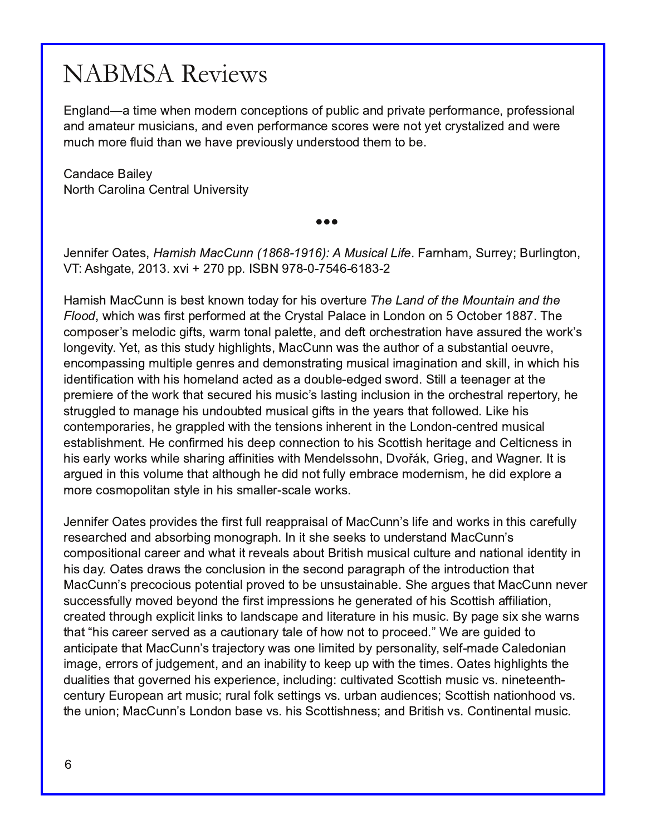England—a time when modern conceptions of public and private performance, professional and amateur musicians, and even performance scores were not yet crystalized and were much more fluid than we have previously understood them to be.

Candace Bailey North Carolina Central University

 $\bullet \bullet \bullet$ 

Jennifer Oates, *Hamish MacCunn (1868-1916): A Musical Life*. Farnham, Surrey; Burlington, VT: Ashgate, 2013. xvi + 270 pp. ISBN 978-0-7546-6183-2

Hamish MacCunn is best known today for his overture The Land of the Mountain and the Flood, which was first performed at the Crystal Palace in London on 5 October 1887. The composer's melodic gifts, warm tonal palette, and deft orchestration have assured the work's longevity. Yet, as this study highlights, MacCunn was the author of a substantial oeuvre, encompassing multiple genres and demonstrating musical imagination and skill, in which his identification with his homeland acted as a double-edged sword. Still a teenager at the premiere of the work that secured his music's lasting inclusion in the orchestral repertory, he struggled to manage his undoubted musical gifts in the years that followed. Like his contemporaries, he grappled with the tensions inherent in the London-centred musical establishment. He confirmed his deep connection to his Scottish heritage and Celticness in his early works while sharing affinities with Mendelssohn, Dvořák, Grieg, and Wagner. It is argued in this volume that although he did not fully embrace modernism, he did explore a more cosmopolitan style in his smaller-scale works.

Jennifer Oates provides the first full reappraisal of MacCunn's life and works in this carefully researched and absorbing monograph. In it she seeks to understand MacCunn's compositional career and what it reveals about British musical culture and national identity in his day. Oates draws the conclusion in the second paragraph of the introduction that MacCunn's precocious potential proved to be unsustainable. She argues that MacCunn never successfully moved beyond the first impressions he generated of his Scottish affiliation, created through explicit links to landscape and literature in his music. By page six she warns that "his career served as a cautionary tale of how not to proceed." We are quided to anticipate that MacCunn's trajectory was one limited by personality, self-made Caledonian image, errors of judgement, and an inability to keep up with the times. Oates highlights the dualities that governed his experience, including: cultivated Scottish music vs. nineteenthcentury European art music; rural folk settings vs. urban audiences; Scottish nationhood vs. the union; MacCunn's London base vs. his Scottishness; and British vs. Continental music.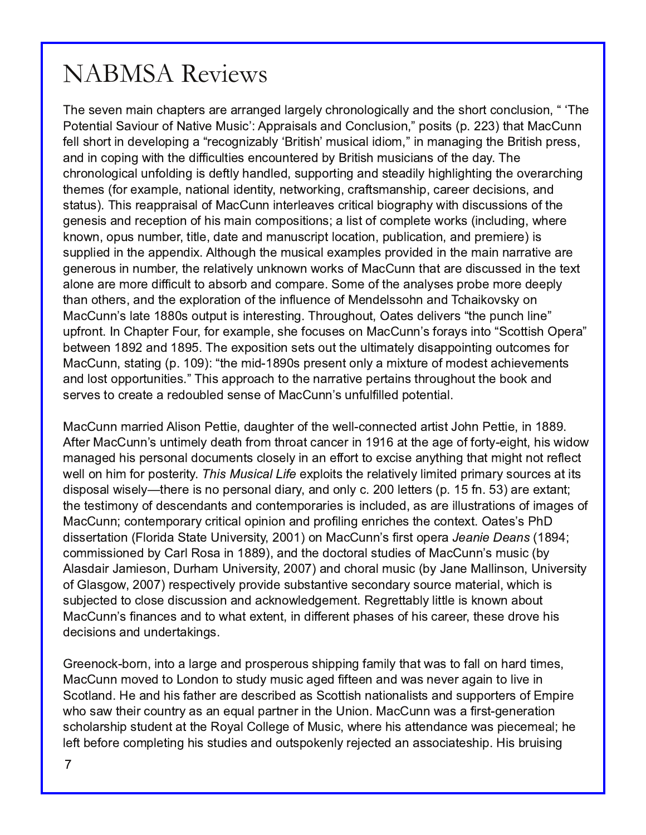The seven main chapters are arranged largely chronologically and the short conclusion, "The Potential Saviour of Native Music': Appraisals and Conclusion," posits (p. 223) that MacCunn fell short in developing a "recognizably 'British' musical idiom," in managing the British press, and in coping with the difficulties encountered by British musicians of the day. The chronological unfolding is deftly handled, supporting and steadily highlighting the overarching themes (for example, national identity, networking, craftsmanship, career decisions, and status). This reappraisal of MacCunn interleaves critical biography with discussions of the genesis and reception of his main compositions; a list of complete works (including, where known, opus number, title, date and manuscript location, publication, and premiere) is supplied in the appendix. Although the musical examples provided in the main narrative are generous in number, the relatively unknown works of MacCunn that are discussed in the text alone are more difficult to absorb and compare. Some of the analyses probe more deeply than others, and the exploration of the influence of Mendelssohn and Tchaikovsky on MacCunn's late 1880s output is interesting. Throughout, Oates delivers "the punch line" upfront. In Chapter Four, for example, she focuses on MacCunn's forays into "Scottish Opera" between 1892 and 1895. The exposition sets out the ultimately disappointing outcomes for MacCunn, stating (p. 109): "the mid-1890s present only a mixture of modest achievements and lost opportunities." This approach to the narrative pertains throughout the book and serves to create a redoubled sense of MacCunn's unfulfilled potential.

MacCunn married Alison Pettie, daughter of the well-connected artist John Pettie, in 1889. After MacCunn's untimely death from throat cancer in 1916 at the age of forty-eight, his widow managed his personal documents closely in an effort to excise anything that might not reflect well on him for posterity. This Musical Life exploits the relatively limited primary sources at its disposal wisely—there is no personal diary, and only c. 200 letters (p. 15 fn. 53) are extant; the testimony of descendants and contemporaries is included, as are illustrations of images of MacCunn; contemporary critical opinion and profiling enriches the context. Oates's PhD dissertation (Florida State University, 2001) on MacCunn's first opera *Jeanie Deans* (1894; commissioned by Carl Rosa in 1889), and the doctoral studies of MacCunn's music (by Alasdair Jamieson, Durham University, 2007) and choral music (by Jane Mallinson, University of Glasgow, 2007) respectively provide substantive secondary source material, which is subjected to close discussion and acknowledgement. Regrettably little is known about MacCunn's finances and to what extent, in different phases of his career, these drove his decisions and undertakings.

Greenock-born, into a large and prosperous shipping family that was to fall on hard times, MacCunn moved to London to study music aged fifteen and was never again to live in Scotland. He and his father are described as Scottish nationalists and supporters of Empire who saw their country as an equal partner in the Union. MacCunn was a first-generation scholarship student at the Royal College of Music, where his attendance was piecemeal; he left before completing his studies and outspokenly rejected an associateship. His bruising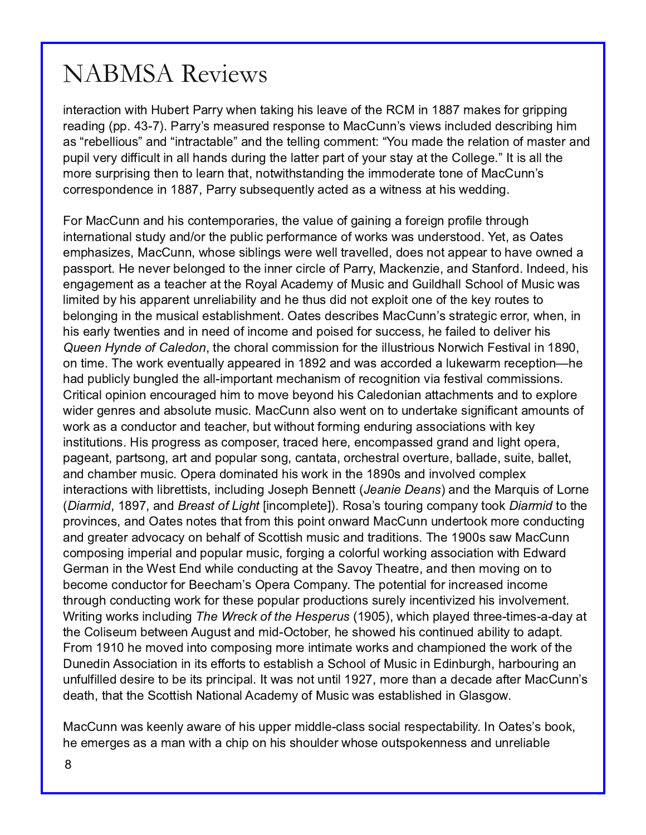#### QDEP VD Uhylhz v

7<B3@/ 1B7=< E7B6 C03@B%/ @GE63< B/ 97<5 67A:3/ D3 =4B63 & " 7< ; / 93A4=@5@7>>7<5 @3/ 27<5 >> %/ @GQA; 3/ AC@32 @3A>=<A3 B= " / 1 C<<QAD73EA7<1:C232 23A1@707<5 67; /  $\triangle$  N@03::7=CAO/ <2 N $\triangle$  HB  $\omega$  1B  $0:3$ O/ <2 B63 B3::7 $\angle$  ES N, =C; / 23 B63 @3:/ B=< =4; / AB3 @/ <2 >C>7: D3@G274471C:B7< / :: 6/ <2A2C@7<5 B63 :/ BB3@>/ @B=4G=C@AB/ G/ BB63 =::353 OB7A/ :: B63 ;  $=$  @ AC@ @A745 B63< B= :3/ @ B6/ B <= EE 786AB <27<5 B63 7; ; =23 @B3 B=<3 = 4" / 1 C<< Q 1=@3A>=<23<13 7< %/@GACOA3?C3<BG/1B32 / A/ E7B+3AA / B67AE3227<5

 $=$  @ / 1 C < / < 2 67A 1 = < B; > = @ @ A B63 D : C3 = 45/  $K$   $K$ 5 /  $4$  @  $7$  < > @ 473 B6 @ C56 7<B3@</ B7=</ : ABC2G/ <2 =@B63 >C0:71 >3@4=@; / <13 =4E=@9AE/ AC<23@AB==2 , 3B/ A\$ / B3A 3; >6/ A7H3A " / 1 C<< E6=A3 A70:7<5AE3@3 E3:: B@/ D3::32 2=3A<=B/ >>3/ @B= 6/ D3 =E<32 /  $>$ / AA $>$ =  $\circledR$  3 < 3D3  $\circledR$ 3:= < 532 B=  $\circledR$ 3 7< 3 $\circledR$ 7 $\circledR$ :3 = 4%/ $\circledR$ " / 193 <  $\circledR$  / <2 '  $\circledR$  <  $\circ$  4 $\circledR$  < 2332  $\circledR$ 3<5/ 53; 3<B/ A/ B3/ 163@ BB63 &=G: 1/ 23; G=4" CA71 / <2 C726/ :: ' 16==: =4" CA71 E/ A :7, 7B32 0G67A/ $>>$ / @3<BC $<$ @:7 07:7BG/ $<$ 2 63 BGCA272  $<$ =83F $>$ :=7B= $<$ 3 =41B63 93G@CB3AB= 03:=<57<5 7< B63; CA71/:3AB 0:7A6; 3<B\$ / B3A23A1@03A" / 1 C<<@Q AB@B3571 3@@@E63< 7< 67A3/ @:GBE3<B73A/ <2 7< <332 =47<1=; 3 / <2 >=7A32 4=@AC113AA 63 4/ 7:32 B= 23:7D3@67A

4&&. 8. %& / ' ", & % . B63 16=@: 1=; ; 7AA  $\neq$  4 $\circ$ B63 7: CAB  $\circ$ CA  $\neq$  = @ 716 3AB D/ : 7< =< B7; 3 ( 63 E=@9 3D3<BC/ ::G/ >>3/ @32 7< / <2 E/ A/ 11=@232 / :C93E/ @; @313>B7=<M 63  $6/2 > 0$ :71:G0C<5:32 B63 / :: 7;  $>= 0$  < B; 316/ <7A;  $= 40$   $-1 = 5$ <7B $= 0$ 7 43ABD/ : 1=; ; 7AAZ=<A

@7B71/ : =>7<7=< 3<1=C@/ 532 67; B= ; =D3 03G=<2 67A / :32=<7/ < / BB/ 16; 3<BA/ <2 B= 3F>:=@3 E723@53<@3A/ <2 / 0A=:CB3 ; CA71 " / 1 C<< / :A= E3<B=< B= C<23@B/ 93 A75<7471/ <B/ ; =C<BA=4  $E = \mathcal{Q}/A$  1 = < 2 C1 B=  $\mathcal{Q}$  < 2 B3 / 163  $\mathcal{Q}$  OBE 786=CB4=  $\mathcal{Q}$  7<5 3 < 2 C $\mathcal{Q}$ 5 / AA=17 B= < A E 786 93 G 7<AB7BCB7=<A 7A>@=5@3AA/ A1=; >=A3@B@/ 132 63@3 3<1=; >/ AA32 5@/ <2 / <2 :756B=>3@/  $>$ / 53/ <B >/ @B=<5 / @B/ <2 >=>C/ @A=<5 1/ <B B = @63AB@: =D3@E@3 0/ ::/ 23 AC7B3 0/ ::3B / <2 16/ ; 03@; CA71 \$ >3@/ 2=; 7</ B32 67AE=@9 7< B63 A/ <2 7<D=:D32 1=; >:3F 7<B3@/ 1B7=<AE7B6 :70@3BB7ABA 7<1:C27<5 =A3>6 3<<3BB &" . \*& &" . 2 / <2 B63 " / @?C7A=4! =@<3

 $*$ " 1-  $*$ % / <2 1&" 23/ '  $*$  ( ) 3- $\mathcal{R}1 =$ ;  $>$ :3B3. &=A/ QaB=C@25 1=;  $>$ / <GB=9  $*$ " 1-  $*$ %B= B63 >  $\circ$   $\circ$ DR13A / <2  $\circ$  /  $\circ$ BA <= B3A to  $\circ$ B4@; B67A >= 7< B= < E / @ " / 1 C << C < 23 @ = 9; = @ 1 = < 2C1 E \te 5 / / <2 5@3/ B3@/ 2D=1/ 1G=< 036/ :4=4' 1=BB746 ; CA71 / <2 B@27B=<A (63 AA/ E " / 1 C<< 1=; >=A7<5 7; >3@; / <2 >=>C:/ @; CA71 4=@7k5 / 1=:=@10; E=@7k5 / AA=17 BE< E786; 2E/ @2

 $3@$  / <  $7@$  Bm  $3@$  +  $3@$  <  $2E673$  1= <  $2C1B&5$  / BBm  $3'$  /  $D=G(63/B@$  / <  $2B3$  < ;  $=D&5$  =  $E$ 031=; 3 1=<2C1B=@4=@ 3316/;  $\mathbb{Q}$ \$>3 $\mathbb{Q}$  =; >/ <G ( 63 >=B3<BT: 4=@74 $\mathbb{Q}$ / A32 7<1=; 3 B6@=C56 1=<2C1B7<5 E=@9 4=@B63A3 >=>C:/ @>@=2C1B7=<AAC@3:G7<13<B7D7H32 67A7<D=:D3; 3<B + @7B7<5 E=@9A7<1:C27<5 ) & ! 1&\$+ / ' 3) & &20&142 E6716 >:/ G32 B6@33 B7; 3A/ 2/ G/ B B63 =:7A3C; 03BE33< C5CAB/ <2 ; 72 \$ 1B=03@63 A6=E32 67A1=<B7<C32 / 07:7BGB= / 2/ >B  $\circledast$ ; 63 ; =D32 KB 1=; >=AT<5 ; = $\circledast$  KBT / B3 E= $\circledast$ A/ <2 16/ ; >7=<32 B63 E= $\circledast$ =4B63 C<327< AA=17 B=< 7< TB 344=@BB 3AB 0:7A6 / '16==: =4" CA71 7< 27<00066 6/ @=C@<5 /<  $C \lt 4C \cdot 47.32$  23A7@3 B= 03 TeA > @2 17 : BE/ A <= BC $\lt 8$ T $\div$  = @3 TeA  $\lt 7$  231/ 23 / 453 @ / 1 C  $\lt \lt 6$ 23/ B6 B6/ BB63 ' 1=BB746 #/ B2=</: 1/ 23; G=4" CA71 E/ A3AB 0:74632 7< :/ A5=E

 $''$  / 1 C  $<<$  E / A  $933 <$  G / E / @3 = 467A C  $>$  3@; 722:3 1:/ A A  $\neq$  17: @3A  $\geq$  31 B 07.78G  $<$  \$ / B3A Q  $=$  = 9 63 3; 3 @63A/ A/;  $/ <$  E786 / 1675 =  $<$  67A A6=C23 @E6=A3 =CBb>=93<<3AA/ <2 C $<$  @:7 0:3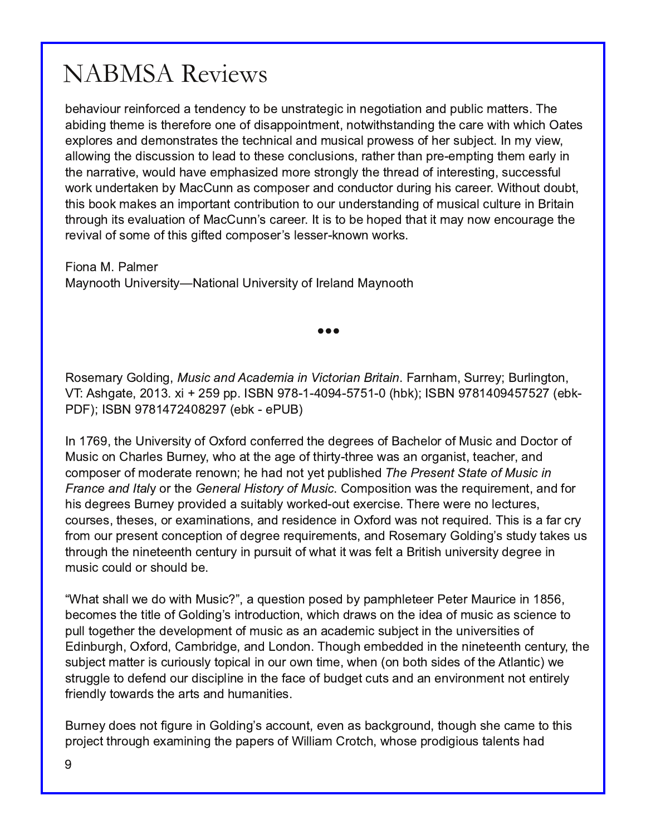behaviour reinforced a tendency to be unstrategic in negotiation and public matters. The abiding theme is therefore one of disappointment, notwithstanding the care with which Oates explores and demonstrates the technical and musical prowess of her subject. In my view, allowing the discussion to lead to these conclusions, rather than pre-empting them early in the narrative, would have emphasized more strongly the thread of interesting, successful work undertaken by MacCunn as composer and conductor during his career. Without doubt, this book makes an important contribution to our understanding of musical culture in Britain through its evaluation of MacCunn's career. It is to be hoped that it may now encourage the revival of some of this gifted composer's lesser-known works.

Fiona M. Palmer Maynooth University—National University of Ireland Maynooth

 $\bullet \bullet \bullet$ 

Rosemary Golding, Music and Academia in Victorian Britain. Farnham, Surrey; Burlington, VT: Ashgate, 2013. xi + 259 pp. ISBN 978-1-4094-5751-0 (hbk); ISBN 9781409457527 (ebk-PDF); ISBN 9781472408297 (ebk - ePUB)

In 1769, the University of Oxford conferred the degrees of Bachelor of Music and Doctor of Music on Charles Burney, who at the age of thirty-three was an organist, teacher, and composer of moderate renown; he had not yet published The Present State of Music in France and Italy or the General History of Music. Composition was the requirement, and for his degrees Burney provided a suitably worked-out exercise. There were no lectures, courses, theses, or examinations, and residence in Oxford was not required. This is a far cry from our present conception of degree requirements, and Rosemary Golding's study takes us through the nineteenth century in pursuit of what it was felt a British university degree in music could or should be.

"What shall we do with Music?", a question posed by pamphleteer Peter Maurice in 1856, becomes the title of Golding's introduction, which draws on the idea of music as science to pull together the development of music as an academic subject in the universities of Edinburgh, Oxford, Cambridge, and London. Though embedded in the nineteenth century, the subject matter is curiously topical in our own time, when (on both sides of the Atlantic) we struggle to defend our discipline in the face of budget cuts and an environment not entirely friendly towards the arts and humanities.

Burney does not figure in Golding's account, even as background, though she came to this project through examining the papers of William Crotch, whose prodigious talents had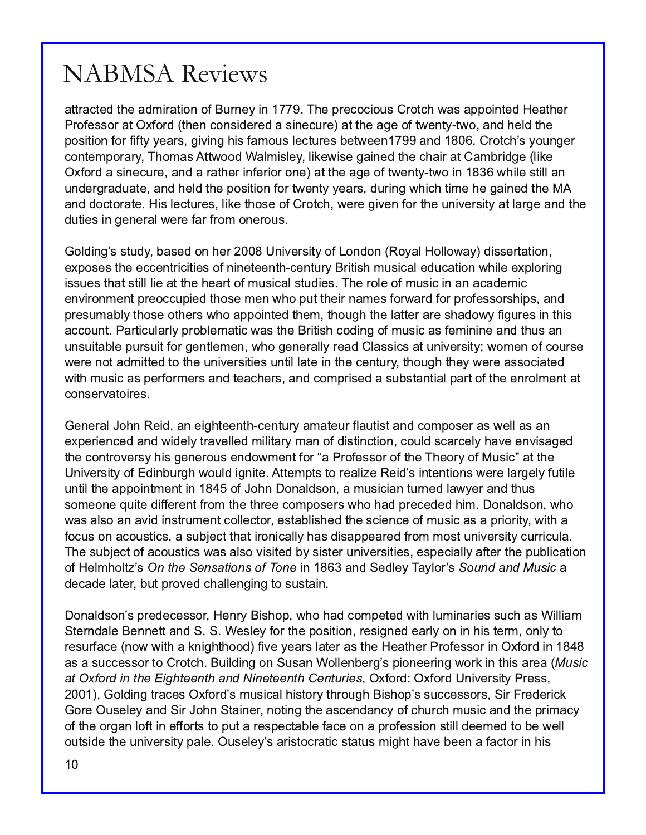attracted the admiration of Burney in 1779. The precocious Crotch was appointed Heather Professor at Oxford (then considered a sinecure) at the age of twenty-two, and held the position for fifty years, giving his famous lectures between 1799 and 1806. Crotch's younger contemporary, Thomas Attwood Walmisley, likewise gained the chair at Cambridge (like Oxford a sinecure, and a rather inferior one) at the age of twenty-two in 1836 while still an undergraduate, and held the position for twenty years, during which time he gained the MA and doctorate. His lectures, like those of Crotch, were given for the university at large and the duties in general were far from onerous.

Golding's study, based on her 2008 University of London (Royal Holloway) dissertation, exposes the eccentricities of nineteenth-century British musical education while exploring issues that still lie at the heart of musical studies. The role of music in an academic environment preoccupied those men who put their names forward for professorships, and presumably those others who appointed them, though the latter are shadowy figures in this account. Particularly problematic was the British coding of music as feminine and thus an unsuitable pursuit for gentlemen, who generally read Classics at university; women of course were not admitted to the universities until late in the century, though they were associated with music as performers and teachers, and comprised a substantial part of the enrolment at conservatoires.

General John Reid, an eighteenth-century amateur flautist and composer as well as an experienced and widely travelled military man of distinction, could scarcely have envisaged the controversy his generous endowment for "a Professor of the Theory of Music" at the University of Edinburgh would ignite. Attempts to realize Reid's intentions were largely futile until the appointment in 1845 of John Donaldson, a musician turned lawyer and thus someone quite different from the three composers who had preceded him. Donaldson, who was also an avid instrument collector, established the science of music as a priority, with a focus on acoustics, a subject that ironically has disappeared from most university curricula. The subject of acoustics was also visited by sister universities, especially after the publication of Helmholtz's On the Sensations of Tone in 1863 and Sedley Taylor's Sound and Music a decade later, but proved challenging to sustain.

Donaldson's predecessor, Henry Bishop, who had competed with luminaries such as William Sterndale Bennett and S. S. Wesley for the position, resigned early on in his term, only to resurface (now with a knighthood) five years later as the Heather Professor in Oxford in 1848 as a successor to Crotch. Building on Susan Wollenberg's pioneering work in this area (Music at Oxford in the Eighteenth and Nineteenth Centuries, Oxford: Oxford University Press, 2001), Golding traces Oxford's musical history through Bishop's successors, Sir Frederick Gore Ouseley and Sir John Stainer, noting the ascendancy of church music and the primacy of the organ loft in efforts to put a respectable face on a profession still deemed to be well outside the university pale. Ouseley's aristocratic status might have been a factor in his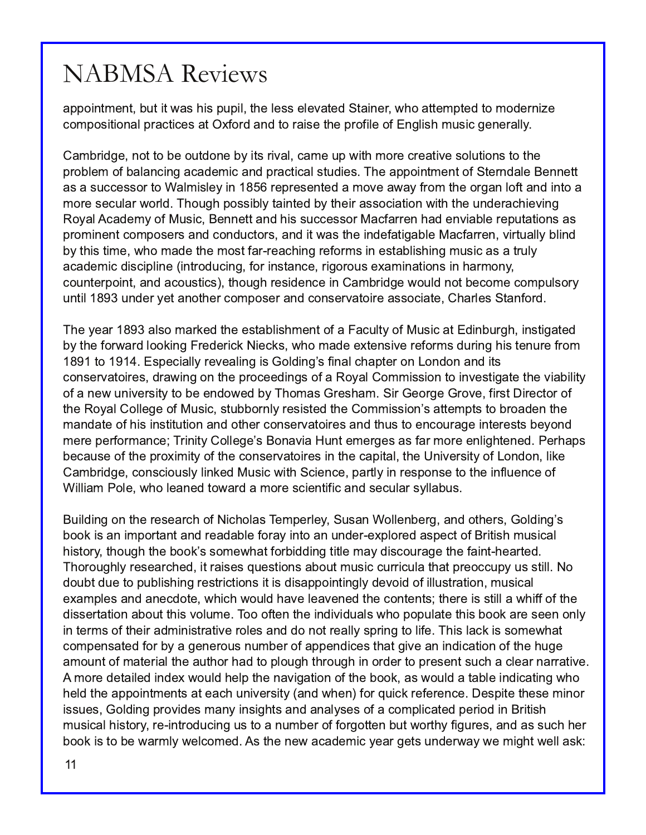appointment, but it was his pupil, the less elevated Stainer, who attempted to modernize compositional practices at Oxford and to raise the profile of English music generally.

Cambridge, not to be outdone by its rival, came up with more creative solutions to the problem of balancing academic and practical studies. The appointment of Sterndale Bennett as a successor to Walmisley in 1856 represented a move away from the organ loft and into a more secular world. Though possibly tainted by their association with the underachieving Royal Academy of Music, Bennett and his successor Macfarren had enviable reputations as prominent composers and conductors, and it was the indefatigable Macfarren, virtually blind by this time, who made the most far-reaching reforms in establishing music as a truly academic discipline (introducing, for instance, rigorous examinations in harmony, counterpoint, and acoustics), though residence in Cambridge would not become compulsory until 1893 under yet another composer and conservatoire associate, Charles Stanford.

The year 1893 also marked the establishment of a Faculty of Music at Edinburgh, instigated by the forward looking Frederick Niecks, who made extensive reforms during his tenure from 1891 to 1914. Especially revealing is Golding's final chapter on London and its conservatoires, drawing on the proceedings of a Royal Commission to investigate the viability of a new university to be endowed by Thomas Gresham. Sir George Grove, first Director of the Royal College of Music, stubbornly resisted the Commission's attempts to broaden the mandate of his institution and other conservatoires and thus to encourage interests beyond mere performance; Trinity College's Bonavia Hunt emerges as far more enlightened. Perhaps because of the proximity of the conservatoires in the capital, the University of London, like Cambridge, consciously linked Music with Science, partly in response to the influence of William Pole, who leaned toward a more scientific and secular syllabus.

Building on the research of Nicholas Temperley, Susan Wollenberg, and others, Golding's book is an important and readable foray into an under-explored aspect of British musical history, though the book's somewhat forbidding title may discourage the faint-hearted. Thoroughly researched, it raises questions about music curricula that preoccupy us still. No doubt due to publishing restrictions it is disappointingly devoid of illustration, musical examples and anecdote, which would have leavened the contents; there is still a whiff of the dissertation about this volume. Too often the individuals who populate this book are seen only in terms of their administrative roles and do not really spring to life. This lack is somewhat compensated for by a generous number of appendices that give an indication of the huge amount of material the author had to plough through in order to present such a clear narrative. A more detailed index would help the navigation of the book, as would a table indicating who held the appointments at each university (and when) for quick reference. Despite these minor issues, Golding provides many insights and analyses of a complicated period in British musical history, re-introducing us to a number of forgotten but worthy figures, and as such her book is to be warmly welcomed. As the new academic year gets underway we might well ask: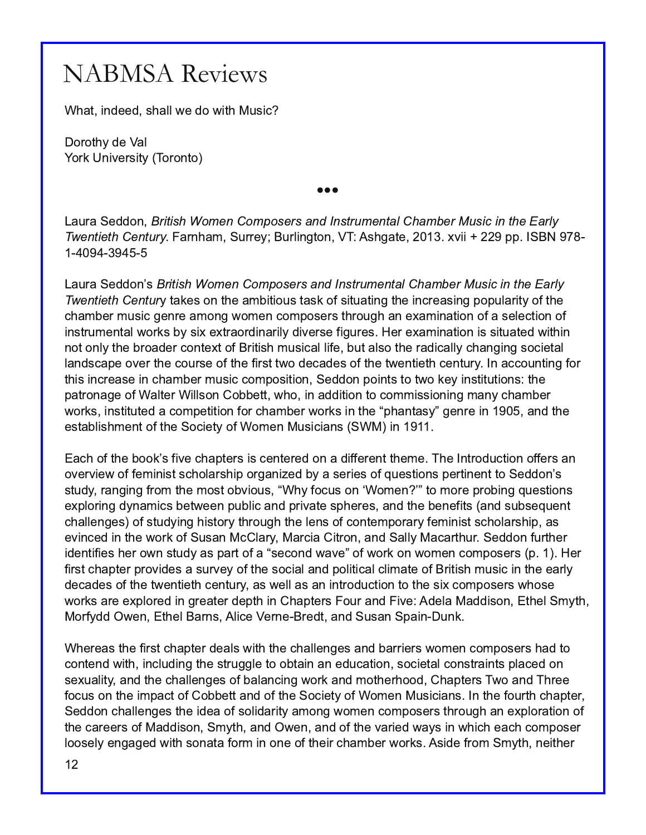What, indeed, shall we do with Music?

Dorothy de Val York University (Toronto)

 $\bullet \bullet \bullet$ 

Laura Seddon, British Women Composers and Instrumental Chamber Music in the Early Twentieth Century. Farnham, Surrey; Burlington, VT: Ashgate, 2013. xvii + 229 pp. ISBN 978-1-4094-3945-5

Laura Seddon's British Women Composers and Instrumental Chamber Music in the Early Twentieth Century takes on the ambitious task of situating the increasing popularity of the chamber music genre among women composers through an examination of a selection of instrumental works by six extraordinarily diverse figures. Her examination is situated within not only the broader context of British musical life, but also the radically changing societal landscape over the course of the first two decades of the twentieth century. In accounting for this increase in chamber music composition, Seddon points to two key institutions: the patronage of Walter Willson Cobbett, who, in addition to commissioning many chamber works, instituted a competition for chamber works in the "phantasy" genre in 1905, and the establishment of the Society of Women Musicians (SWM) in 1911.

Each of the book's five chapters is centered on a different theme. The Introduction offers an overview of feminist scholarship organized by a series of questions pertinent to Seddon's study, ranging from the most obvious, "Why focus on 'Women?" to more probing questions exploring dynamics between public and private spheres, and the benefits (and subsequent challenges) of studying history through the lens of contemporary feminist scholarship, as evinced in the work of Susan McClary, Marcia Citron, and Sally Macarthur. Seddon further identifies her own study as part of a "second wave" of work on women composers (p. 1). Her first chapter provides a survey of the social and political climate of British music in the early decades of the twentieth century, as well as an introduction to the six composers whose works are explored in greater depth in Chapters Four and Five: Adela Maddison, Ethel Smyth, Morfydd Owen, Ethel Barns, Alice Verne-Bredt, and Susan Spain-Dunk.

Whereas the first chapter deals with the challenges and barriers women composers had to contend with, including the struggle to obtain an education, societal constraints placed on sexuality, and the challenges of balancing work and motherhood, Chapters Two and Three focus on the impact of Cobbett and of the Society of Women Musicians. In the fourth chapter, Seddon challenges the idea of solidarity among women composers through an exploration of the careers of Maddison, Smyth, and Owen, and of the varied ways in which each composer loosely engaged with sonata form in one of their chamber works. Aside from Smyth, neither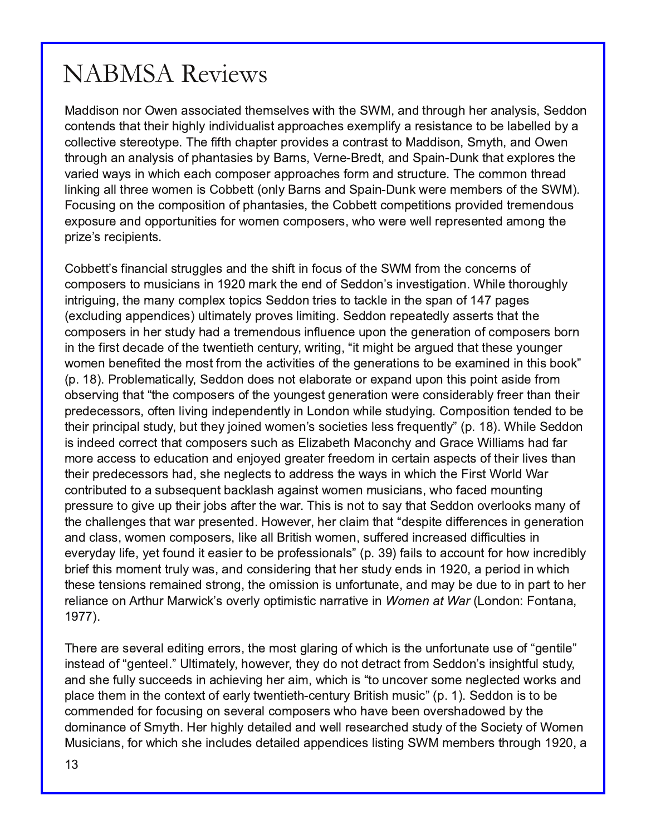Maddison nor Owen associated themselves with the SWM, and through her analysis, Seddon contends that their highly individualist approaches exemplify a resistance to be labelled by a collective stereotype. The fifth chapter provides a contrast to Maddison, Smyth, and Owen through an analysis of phantasies by Barns, Verne-Bredt, and Spain-Dunk that explores the varied ways in which each composer approaches form and structure. The common thread linking all three women is Cobbett (only Barns and Spain-Dunk were members of the SWM). . Focusing on the composition of phantasies, the Cobbett competitions provided tremendous exposure and opportunities for women composers, who were well represented among the prize's recipients.

Cobbett's financial struggles and the shift in focus of the SWM from the concerns of composers to musicians in 1920 mark the end of Seddon's investigation. While thoroughly intriguing, the many complex topics Seddon tries to tackle in the span of 147 pages (excluding appendices) ultimately proves limiting. Seddon repeatedly asserts that the composers in her study had a tremendous influence upon the generation of composers born in the first decade of the twentieth century, writing, "it might be argued that these younger women benefited the most from the activities of the generations to be examined in this book" (p. 18). Problematically, Seddon does not elaborate or expand upon this point aside from observing that "the composers of the youngest generation were considerably freer than their predecessors, often living independently in London while studying. Composition tended to be their principal study, but they joined women's societies less frequently" (p. 18). While Seddon is indeed correct that composers such as Elizabeth Maconchy and Grace Williams had far more access to education and enjoyed greater freedom in certain aspects of their lives than their predecessors had, she neglects to address the ways in which the First World War contributed to a subsequent backlash against women musicians, who faced mounting pressure to give up their jobs after the war. This is not to say that Seddon overlooks many of the challenges that war presented. However, her claim that "despite differences in generation and class, women composers, like all British women, suffered increased difficulties in everyday life, yet found it easier to be professionals" (p. 39) fails to account for how incredibly brief this moment truly was, and considering that her study ends in 1920, a period in which these tensions remained strong, the omission is unfortunate, and may be due to in part to her reliance on Arthur Marwick's overly optimistic narrative in Women at War (London: Fontana, 1977). .

There are several editing errors, the most glaring of which is the unfortunate use of "gentile" instead of "genteel." Ultimately, however, they do not detract from Seddon's insightful study, and she fully succeeds in achieving her aim, which is "to uncover some neglected works and place them in the context of early twentieth-century British music" (p. 1). Seddon is to be commended for focusing on several composers who have been overshadowed by the dominance of Smyth. Her highly detailed and well researched study of the Society of Women Musicians, for which she includes detailed appendices listing SWM members through 1920, a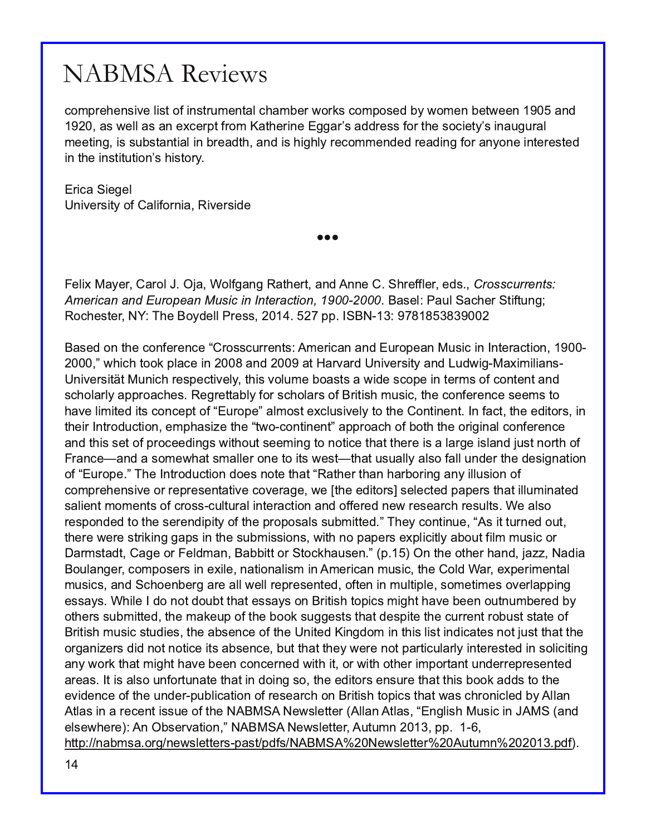#### QDEP VD Uhylhz v

1=; > @63<AD3:7AB=47<AB@; 3<B:16/; 03@E=@A1=; >=A32 0GE=; 3< 03EE33< /></  $/$  AE3::  $/$  A $/$  < 3F13 @B4@;  $/$  B63 @  $2$  3  $-$  55/ @  $/$  22 @ AA 4= @ 663 A  $=$  173 BGQ  $\alpha$  K/ C5 C  $\alpha$ : ; 33B7<5 7AAC0AB/ <B7/ : 7< 0@3/ 2B6 / <2 7A6756:G@31=; ; 3<232 @3/ 27<5 4=@/ <G=<3 7<B3@3AB32 7< B63 7<AB7BCB7=<QA67AB=@G

 $Q/$  ' 7353:

 $\angle$   $ZDB$  @  $R$   $B = 4$  /  $\angle$   $R = 27$  &  $7$   $B$  @  $7/23$ 

TTT

3:7F " / G3@ / @=: \$ 8/ + =:45/ <5 &/ B63@B/ <2 <<3 ' 6@344:3@32A 1/ 22\$411&. 32  $-$  &1\*3". ". % 41/ 0&". 42\*3 \*. . 3&1" \$31/.  $\overline{a}$  / A3: % C: / 163 @ B74BC<5  $&=163$ AB3 $&@$ #, (63 = G23:: % $&@$ AA  $&>>$  ' #

 $/$  A32 = < B63 1 = < 43 @ < 13 N @  $AA$ 1 C@3 < B64  $/$  <  $/$  <  $/$  <  $2$  C@  $>$ 3 $/$  <  $"$  CA71  $\le$   $\le$  B641 B= <  $OE6716 B = 9 > 113 K$  / <2 / B /  $@$  ) < $DB@$   $@$  /  $2!$   $C2EB$  " / F7; 77 <A ) <7D3@A7BJB" C<716 @3A>31B0B:G B67AD=:C; 3 0=/ ABA/ E723 A1=>3 7< B3@; A=41=<B3<B/><2  $A16=$ :/ $@G$ / $>>@$ /163A & 35 $@H50:G4=@116=$ :/ $@A=4$   $@H46$  ; CA71  $B=31=$ <43 $@A=13$  A33; AB= 6/ D3:7; 7B32 7BA1=<13>B=4N C@b>3O/:: =AB3F1:CA7D3:GB= B63 =<BR3<B < 4' 1BB63 327B=@A 7< B637@<B@=2C1B7=< 3; >6/ A7H3 B63 NBE= 1=<B7<3<BO/ >>@=/ 16 =40=B6 B63 =@757</ : 1=<43@3<13  $/$  <2 B67AA3B=4 $>$ @413327<5AE7B6=CBA33; 7<5 B= <=B713 B6 $/$ BB63@37A $/$   $/$  @637A $/$  <2 8CAB <= @66 =4  $\%$  <13M / <2 / A=; 3E6/ BA; /:3 $\%$  <3 B= 7BA E3ABM B6/ BCAC/::G/:A=  $4$ :: C<23 $\%$ B63 23A75</BF<  $=$  4N C@ $>$ 3 Q(63 < B@ $=$ 2C1B $\pm$ < 2=3A <  $=$ B3 B6/ BN&/B63@B6/ < 6/@ $=$ @<5/ < G7:CA $\pm$ <  $=$ 4 1=; > @63<A7D3 = @@> @A3<BBD3 1=D3 @53 E3 -B63 327B=@A3:31B32 >/ >3@AB6/ B7:C; 7</ B32  $A' : B < B; =: 3 < B + 41 \times A + 10 \times B \times \times B + 10 \times C = 48 \times 32 \times 3 = 0.043 \times 36 \times 36 \times B + 3 / 10 \times C = 0.043 \times 36 \times 36 \times 36 \times C = 0.043 \times 36 \times 36 \times C = 0.043 \times 36 \times 36 \times C = 0.043 \times 36 \times 36 \times C = 0.043 \times 36 \times C = 0.043 \times 36 \times C = 0.043 \times 36 \times C = 0.$ @3A>=<232 B= B63 A3@3<27>7BG=4B63 >@=>=A/ :AAC0; 7BB32 O( 63G1=<B7<C3 N A7BBC@<32 =CB B63@3 E3@3 AB@7275 5/ >A7< B63 AC0; 7AA7=<A E7B6 <= >/ >3@43F>:717BG/0=CB47: ; CA71 = @  $/$  @; AB 2B  $/$  53 = @ 3:2;  $/$  <  $/$  007BB= @ B=196/ CA3 < O > \$ < B63 = B63 @  $/$  < 2 & HH  $\#$  / 27  $=$ C/ $<$ 53@1=;  $>$ =A3@K3F73  $\lt$ / $\cong$  $\lt$ / $\therefore$ R;  $\lt$   $\div$  3@/ $\lt$ ; CA71 B63 =:2 + / @3F>3@3 $\ltimes$ B: ; CA71A / <2 ' 16=3<03 @ / @ / :: E3:: @ $>$ @A3<B32 =4B3< 7< ; C:B5:3 A=; 3E( 3A=D3@:>>7<5 3AA/ GA + 67:3 2= <=B2=C0BB6/ B3AA/ GA=< @7B7A6 B=>71A; 756B6/ D3 033< =CB<C; 03@32 0G =B63@AC0; 7BB32 B63; / 93C> =4B63 0==9 AC553ABAB6/B23A>7B3 B63 1C@3<B@=0CABABB3 =4 @7B7A6 ; CA71 ABC273A B63 / 0A3<13 =4B63 ) <7B32 7<52=; 7< B67A:7AB7<271/ B3A<=B8CABB6/ BB63 =@/<7H3@A272 <=B<=B7137BA/0A3<13 0CBB6/BB63GE3@3 <=B>/@FIC:/@G7<B3@AB327< A=:717BK5 / <GE=@9 B6/ B; 756B6/ D3 033< 1=<13@<32 E7B6 7B=@E7B6 =B63@7; >=@B/ <BC<23@3>@3A3<B32 / @3/ A B7A/ :A= C<4=@BC</ B3 B6/ B7< 2=7<5 A= B63 327B=@A3<AC@3 B6/ BB67A0==9 / 22AB= B63 3D23<13=4B63 C<23  $\circledcirc$  C0:7/ B=<=4  $\circledcirc$  A3/  $\circledcirc$  =<  $\circledcirc$  BP46 B=>71A B5/ BE/ A16  $\circledcirc$  <71:32 0G ::/ < B'A  $\overline{R}$  / @313<B7AAC3 =4B63 # " ' #3EA:3B8@ ::/< B'A N <5:7A6 " CA71 7< " ' / <2  $3:ABE63@ < $0A3@E48C# " " # 3EA3EB@CEC@ >>$ 6BB  $\lt 0$ ; A = @ $\lt 3E$ A:3BB3 @ $\gt 1$  AB $>$ 24A # " ' # 3EA:3BB3 @ CBC;  $\lt$  >24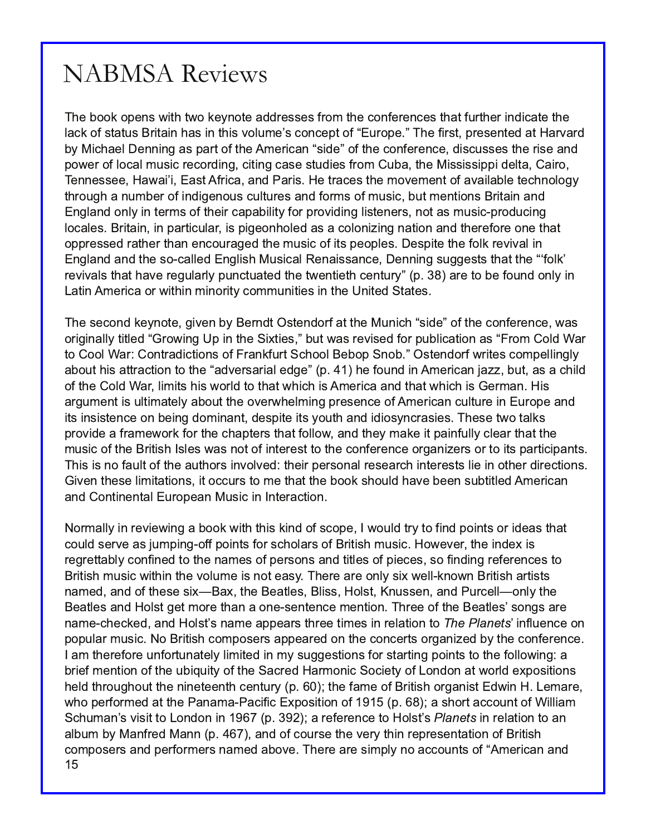The book opens with two keynote addresses from the conferences that further indicate the lack of status Britain has in this volume's concept of "Europe." The first, presented at Harvard by Michael Denning as part of the American "side" of the conference, discusses the rise and power of local music recording, citing case studies from Cuba, the Mississippi delta, Cairo, Tennessee, Hawai'i, East Africa, and Paris. He traces the movement of available technology through a number of indigenous cultures and forms of music, but mentions Britain and England only in terms of their capability for providing listeners, not as music-producing locales. Britain, in particular, is pigeonholed as a colonizing nation and therefore one that oppressed rather than encouraged the music of its peoples. Despite the folk revival in England and the so-called English Musical Renaissance, Denning suggests that the "folk" revivals that have regularly punctuated the twentieth century" (p. 38) are to be found only in Latin America or within minority communities in the United States.

The second keynote, given by Berndt Ostendorf at the Munich "side" of the conference, was originally titled "Growing Up in the Sixties," but was revised for publication as "From Cold War to Cool War: Contradictions of Frankfurt School Bebop Snob." Ostendorf writes compellingly about his attraction to the "adversarial edge" (p. 41) he found in American jazz, but, as a child of the Cold War, limits his world to that which is America and that which is German. His argument is ultimately about the overwhelming presence of American culture in Europe and its insistence on being dominant, despite its youth and idiosyncrasies. These two talks provide a framework for the chapters that follow, and they make it painfully clear that the music of the British Isles was not of interest to the conference organizers or to its participants. This is no fault of the authors involved: their personal research interests lie in other directions. Given these limitations, it occurs to me that the book should have been subtitled American and Continental European Music in Interaction.

15 Normally in reviewing a book with this kind of scope, I would try to find points or ideas that could serve as jumping-off points for scholars of British music. However, the index is regrettably confined to the names of persons and titles of pieces, so finding references to British music within the volume is not easy. There are only six well-known British artists named, and of these six—Bax, the Beatles, Bliss, Holst, Knussen, and Purcell—only the Beatles and Holst get more than a one-sentence mention. Three of the Beatles' songs are name-checked, and Holst's name appears three times in relation to *The Planets'* influence on popular music. No British composers appeared on the concerts organized by the conference. I am therefore unfortunately limited in my suggestions for starting points to the following: a brief mention of the ubiquity of the Sacred Harmonic Society of London at world expositions held throughout the nineteenth century (p. 60); the fame of British organist Edwin H. Lemare, who performed at the Panama-Pacific Exposition of 1915 (p. 68); a short account of William Schuman's visit to London in 1967 (p. 392); a reference to Holst's *Planets* in relation to an album by Manfred Mann (p. 467), and of course the very thin representation of British composers and performers named above. There are simply no accounts of "American and